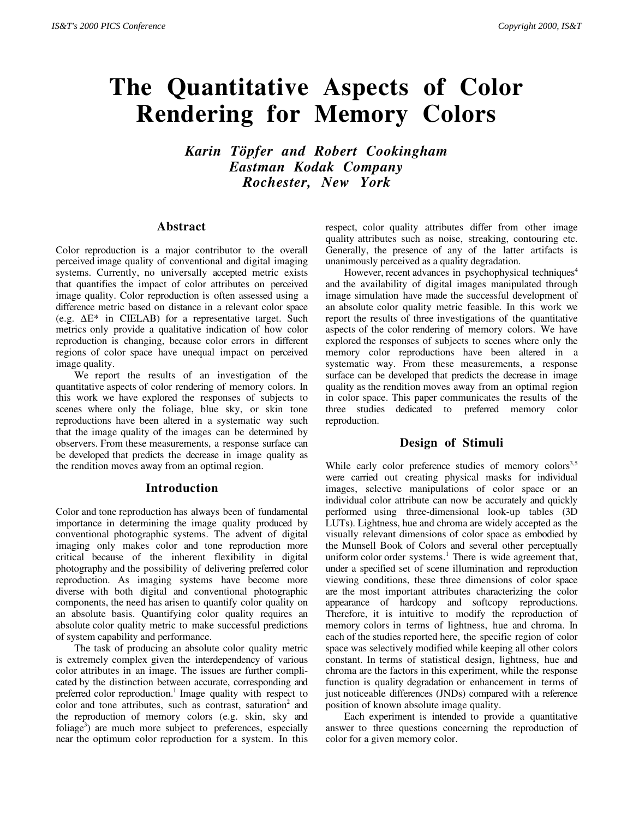# **The Quantitative Aspects of Color Rendering for Memory Colors**

*Karin Töpfer and Robert Cookingham Eastman Kodak Company Rochester, New York*

#### **Abstract**

Color reproduction is a major contributor to the overall perceived image quality of conventional and digital imaging systems. Currently, no universally accepted metric exists that quantifies the impact of color attributes on perceived image quality. Color reproduction is often assessed using a difference metric based on distance in a relevant color space (e.g. ∆E\* in CIELAB) for a representative target. Such metrics only provide a qualitative indication of how color reproduction is changing, because color errors in different regions of color space have unequal impact on perceived image quality.

We report the results of an investigation of the quantitative aspects of color rendering of memory colors. In this work we have explored the responses of subjects to scenes where only the foliage, blue sky, or skin tone reproductions have been altered in a systematic way such that the image quality of the images can be determined by observers. From these measurements, a response surface can be developed that predicts the decrease in image quality as the rendition moves away from an optimal region.

#### **Introduction**

Color and tone reproduction has always been of fundamental importance in determining the image quality produced by conventional photographic systems. The advent of digital imaging only makes color and tone reproduction more critical because of the inherent flexibility in digital photography and the possibility of delivering preferred color reproduction. As imaging systems have become more diverse with both digital and conventional photographic components, the need has arisen to quantify color quality on an absolute basis. Quantifying color quality requires an absolute color quality metric to make successful predictions of system capability and performance.

The task of producing an absolute color quality metric is extremely complex given the interdependency of various color attributes in an image. The issues are further complicated by the distinction between accurate, corresponding and preferred color reproduction.<sup>1</sup> Image quality with respect to color and tone attributes, such as contrast, saturation<sup>2</sup> and the reproduction of memory colors (e.g. skin, sky and foliage<sup>3</sup>) are much more subject to preferences, especially near the optimum color reproduction for a system. In this

respect, color quality attributes differ from other image quality attributes such as noise, streaking, contouring etc. Generally, the presence of any of the latter artifacts is unanimously perceived as a quality degradation.

However, recent advances in psychophysical techniques<sup>4</sup> and the availability of digital images manipulated through image simulation have made the successful development of an absolute color quality metric feasible. In this work we report the results of three investigations of the quantitative aspects of the color rendering of memory colors. We have explored the responses of subjects to scenes where only the memory color reproductions have been altered in a systematic way. From these measurements, a response surface can be developed that predicts the decrease in image quality as the rendition moves away from an optimal region in color space. This paper communicates the results of the three studies dedicated to preferred memory color reproduction.

# **Design of Stimuli**

While early color preference studies of memory colors<sup>3,5</sup> were carried out creating physical masks for individual images, selective manipulations of color space or an individual color attribute can now be accurately and quickly performed using three-dimensional look-up tables (3D LUTs). Lightness, hue and chroma are widely accepted as the visually relevant dimensions of color space as embodied by the Munsell Book of Colors and several other perceptually uniform color order systems.<sup>1</sup> There is wide agreement that, under a specified set of scene illumination and reproduction viewing conditions, these three dimensions of color space are the most important attributes characterizing the color appearance of hardcopy and softcopy reproductions. Therefore, it is intuitive to modify the reproduction of memory colors in terms of lightness, hue and chroma. In each of the studies reported here, the specific region of color space was selectively modified while keeping all other colors constant. In terms of statistical design, lightness, hue and chroma are the factors in this experiment, while the response function is quality degradation or enhancement in terms of just noticeable differences (JNDs) compared with a reference position of known absolute image quality.

Each experiment is intended to provide a quantitative answer to three questions concerning the reproduction of color for a given memory color.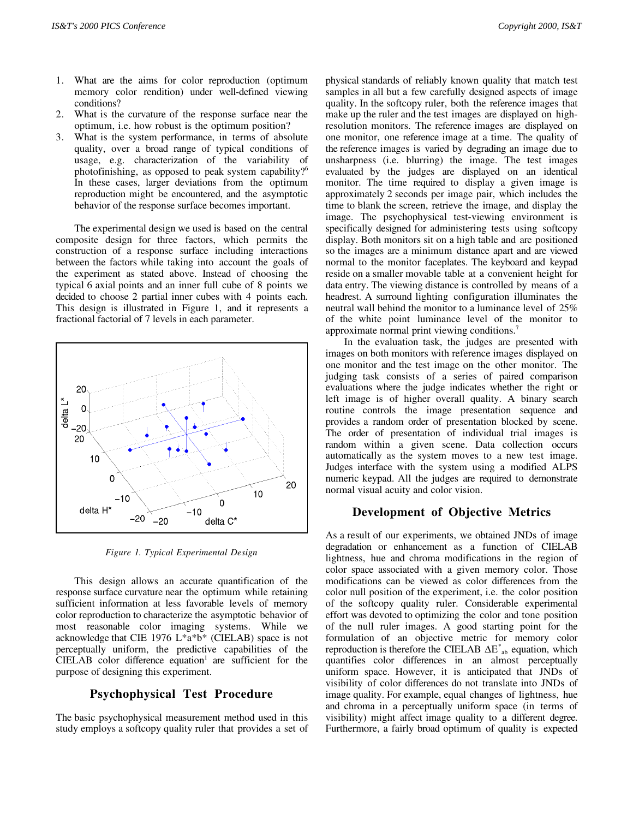- 1. What are the aims for color reproduction (optimum memory color rendition) under well-defined viewing conditions?
- 2. What is the curvature of the response surface near the optimum, i.e. how robust is the optimum position?
- 3. What is the system performance, in terms of absolute quality, over a broad range of typical conditions of usage, e.g. characterization of the variability of photofinishing, as opposed to peak system capability?6 In these cases, larger deviations from the optimum reproduction might be encountered, and the asymptotic behavior of the response surface becomes important.

The experimental design we used is based on the central composite design for three factors, which permits the construction of a response surface including interactions between the factors while taking into account the goals of the experiment as stated above. Instead of choosing the typical 6 axial points and an inner full cube of 8 points we decided to choose 2 partial inner cubes with 4 points each. This design is illustrated in Figure 1, and it represents a fractional factorial of 7 levels in each parameter.



*Figure 1. Typical Experimental Design*

This design allows an accurate quantification of the response surface curvature near the optimum while retaining sufficient information at less favorable levels of memory color reproduction to characterize the asymptotic behavior of most reasonable color imaging systems. While we acknowledge that CIE 1976 L\*a\*b\* (CIELAB) space is not perceptually uniform, the predictive capabilities of the  $CIELAB$  color difference equation<sup>1</sup> are sufficient for the purpose of designing this experiment.

## **Psychophysical Test Procedure**

The basic psychophysical measurement method used in this study employs a softcopy quality ruler that provides a set of physical standards of reliably known quality that match test samples in all but a few carefully designed aspects of image quality. In the softcopy ruler, both the reference images that make up the ruler and the test images are displayed on highresolution monitors. The reference images are displayed on one monitor, one reference image at a time. The quality of the reference images is varied by degrading an image due to unsharpness (i.e. blurring) the image. The test images evaluated by the judges are displayed on an identical monitor. The time required to display a given image is approximately 2 seconds per image pair, which includes the time to blank the screen, retrieve the image, and display the image. The psychophysical test-viewing environment is specifically designed for administering tests using softcopy display. Both monitors sit on a high table and are positioned so the images are a minimum distance apart and are viewed normal to the monitor faceplates. The keyboard and keypad reside on a smaller movable table at a convenient height for data entry. The viewing distance is controlled by means of a headrest. A surround lighting configuration illuminates the neutral wall behind the monitor to a luminance level of 25% of the white point luminance level of the monitor to approximate normal print viewing conditions.<sup>7</sup>

In the evaluation task, the judges are presented with images on both monitors with reference images displayed on one monitor and the test image on the other monitor. The judging task consists of a series of paired comparison evaluations where the judge indicates whether the right or left image is of higher overall quality. A binary search routine controls the image presentation sequence and provides a random order of presentation blocked by scene. The order of presentation of individual trial images is random within a given scene. Data collection occurs automatically as the system moves to a new test image. Judges interface with the system using a modified ALPS numeric keypad. All the judges are required to demonstrate normal visual acuity and color vision.

#### **Development of Objective Metrics**

As a result of our experiments, we obtained JNDs of image degradation or enhancement as a function of CIELAB lightness, hue and chroma modifications in the region of color space associated with a given memory color. Those modifications can be viewed as color differences from the color null position of the experiment, i.e. the color position of the softcopy quality ruler. Considerable experimental effort was devoted to optimizing the color and tone position of the null ruler images. A good starting point for the formulation of an objective metric for memory color reproduction is therefore the CIELAB  $\Delta E^*$ <sub>ab</sub> equation, which quantifies color differences in an almost perceptually uniform space. However, it is anticipated that JNDs of visibility of color differences do not translate into JNDs of image quality. For example, equal changes of lightness, hue and chroma in a perceptually uniform space (in terms of visibility) might affect image quality to a different degree. Furthermore, a fairly broad optimum of quality is expected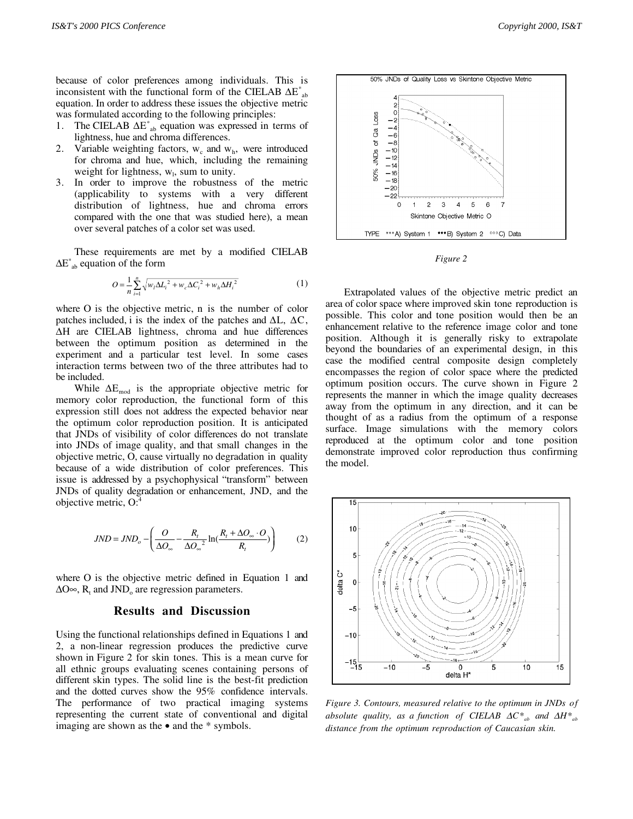because of color preferences among individuals. This is inconsistent with the functional form of the CIELAB  $\Delta E^*$ <sub>ab</sub> equation. In order to address these issues the objective metric was formulated according to the following principles:

- 1. The CIELAB  $\Delta E^*$ <sub>ab</sub> equation was expressed in terms of lightness, hue and chroma differences.
- 2. Variable weighting factors,  $w_c$  and  $w_h$ , were introduced for chroma and hue, which, including the remaining weight for lightness,  $w_i$ , sum to unity.
- 3. In order to improve the robustness of the metric (applicability to systems with a very different distribution of lightness, hue and chroma errors compared with the one that was studied here), a mean over several patches of a color set was used.

These requirements are met by a modified CIELAB  $\Delta E^*$ <sub>ab</sub> equation of the form

$$
O = \frac{1}{n} \sum_{i=1}^{n} \sqrt{w_i \Delta L_i^2 + w_c \Delta C_i^2 + w_h \Delta H_i^2}
$$
 (1)

where O is the objective metric, n is the number of color patches included, i is the index of the patches and  $\Delta L$ ,  $\Delta C$ , ∆H are CIELAB lightness, chroma and hue differences between the optimum position as determined in the experiment and a particular test level. In some cases interaction terms between two of the three attributes had to be included.

While  $\Delta E_{mod}$  is the appropriate objective metric for memory color reproduction, the functional form of this expression still does not address the expected behavior near the optimum color reproduction position. It is anticipated that JNDs of visibility of color differences do not translate into JNDs of image quality, and that small changes in the objective metric, O, cause virtually no degradation in quality because of a wide distribution of color preferences. This issue is addressed by a psychophysical "transform" between JNDs of quality degradation or enhancement, JND, and the objective metric, O:4

$$
JND = JND_o - \left(\frac{O}{\Delta O_{\infty}} - \frac{R_t}{\Delta O_{\infty}^2} \ln(\frac{R_t + \Delta O_{\infty} \cdot O}{R_t})\right) \tag{2}
$$

where O is the objective metric defined in Equation 1 and  $\Delta$ O∞, R<sub>t</sub> and JND<sub>o</sub> are regression parameters.

#### **Results and Discussion**

Using the functional relationships defined in Equations 1 and 2, a non-linear regression produces the predictive curve shown in Figure 2 for skin tones. This is a mean curve for all ethnic groups evaluating scenes containing persons of different skin types. The solid line is the best-fit prediction and the dotted curves show the 95% confidence intervals. The performance of two practical imaging systems representing the current state of conventional and digital imaging are shown as the • and the \* symbols.



*Figure 2*

Extrapolated values of the objective metric predict an area of color space where improved skin tone reproduction is possible. This color and tone position would then be an enhancement relative to the reference image color and tone position. Although it is generally risky to extrapolate beyond the boundaries of an experimental design, in this case the modified central composite design completely encompasses the region of color space where the predicted optimum position occurs. The curve shown in Figure 2 represents the manner in which the image quality decreases away from the optimum in any direction, and it can be thought of as a radius from the optimum of a response surface. Image simulations with the memory colors reproduced at the optimum color and tone position demonstrate improved color reproduction thus confirming the model.



*Figure 3. Contours, measured relative to the optimum in JNDs of absolute quality, as a function of CIELAB*  $\Delta C^*$ <sub>ab</sub> and  $\Delta H^*$ <sub>ab</sub> *distance from the optimum reproduction of Caucasian skin.*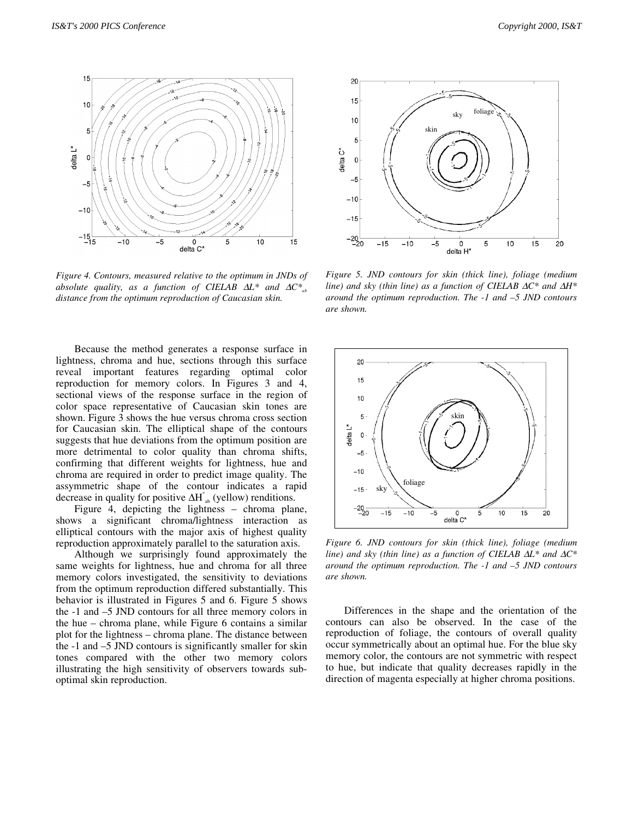

*Figure 4. Contours, measured relative to the optimum in JNDs of absolute quality, as a function of CIELAB*  $\Delta L^*$  *and*  $\Delta C^*$ *<sub>ab</sub> distance from the optimum reproduction of Caucasian skin.*

delta C'

Because the method generates a response surface in lightness, chroma and hue, sections through this surface reveal important features regarding optimal color reproduction for memory colors. In Figures 3 and 4, sectional views of the response surface in the region of color space representative of Caucasian skin tones are shown. Figure 3 shows the hue versus chroma cross section for Caucasian skin. The elliptical shape of the contours suggests that hue deviations from the optimum position are more detrimental to color quality than chroma shifts, confirming that different weights for lightness, hue and chroma are required in order to predict image quality. The assymmetric shape of the contour indicates a rapid decrease in quality for positive  $\Delta H^*$ <sub>ab</sub> (yellow) renditions.

Figure 4, depicting the lightness – chroma plane, shows a significant chroma/lightness interaction as elliptical contours with the major axis of highest quality reproduction approximately parallel to the saturation axis.

Although we surprisingly found approximately the same weights for lightness, hue and chroma for all three memory colors investigated, the sensitivity to deviations from the optimum reproduction differed substantially. This behavior is illustrated in Figures 5 and 6. Figure 5 shows the -1 and –5 JND contours for all three memory colors in the hue – chroma plane, while Figure 6 contains a similar plot for the lightness – chroma plane. The distance between the -1 and –5 JND contours is significantly smaller for skin tones compared with the other two memory colors illustrating the high sensitivity of observers towards suboptimal skin reproduction.



*Figure 5. JND contours for skin (thick line), foliage (medium line)* and sky (thin line) as a function of CIELAB ∆C<sup>\*</sup> and ∆H<sup>\*</sup> *around the optimum reproduction. The -1 and –5 JND contours are shown.*



*Figure 6. JND contours for skin (thick line), foliage (medium line)* and sky (thin line) as a function of CIELAB ∆L<sup>\*</sup> and ∆C<sup>\*</sup> *around the optimum reproduction. The -1 and –5 JND contours are shown.*

Differences in the shape and the orientation of the contours can also be observed. In the case of the reproduction of foliage, the contours of overall quality occur symmetrically about an optimal hue. For the blue sky memory color, the contours are not symmetric with respect to hue, but indicate that quality decreases rapidly in the direction of magenta especially at higher chroma positions.